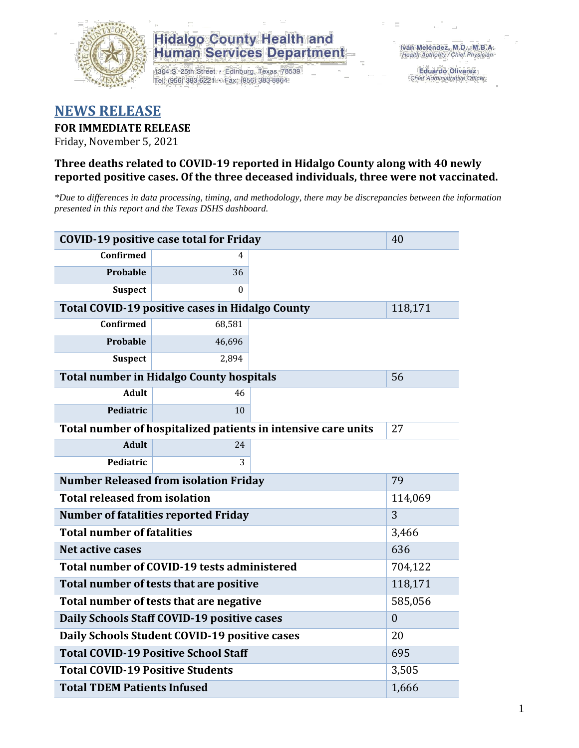

## **Hidalgo County Health and Human Services Department**

1304 S. 25th Street · Edinburg, Texas 78539 Tel: (956) 383-6221 · Fax: (956) 383-8864

**Eduardo Olivarez** Chief Administrative Officer

## **NEWS RELEASE**

## **FOR IMMEDIATE RELEASE**

Friday, November 5, 2021

## **Three deaths related to COVID-19 reported in Hidalgo County along with 40 newly reported positive cases. Of the three deceased individuals, three were not vaccinated.**

*\*Due to differences in data processing, timing, and methodology, there may be discrepancies between the information presented in this report and the Texas DSHS dashboard.*

| <b>COVID-19 positive case total for Friday</b>                | 40                                                     |   |         |
|---------------------------------------------------------------|--------------------------------------------------------|---|---------|
| <b>Confirmed</b>                                              | 4                                                      |   |         |
| <b>Probable</b>                                               | 36                                                     |   |         |
| <b>Suspect</b>                                                | 0                                                      |   |         |
|                                                               | <b>Total COVID-19 positive cases in Hidalgo County</b> |   | 118,171 |
| <b>Confirmed</b>                                              | 68,581                                                 |   |         |
| Probable                                                      | 46,696                                                 |   |         |
| <b>Suspect</b>                                                | 2,894                                                  |   |         |
|                                                               | <b>Total number in Hidalgo County hospitals</b>        |   | 56      |
| <b>Adult</b>                                                  | 46                                                     |   |         |
| Pediatric                                                     | 10                                                     |   |         |
| Total number of hospitalized patients in intensive care units | 27                                                     |   |         |
| <b>Adult</b>                                                  | 24                                                     |   |         |
| Pediatric                                                     | 3                                                      |   |         |
| <b>Number Released from isolation Friday</b>                  | 79                                                     |   |         |
| <b>Total released from isolation</b>                          | 114,069                                                |   |         |
| <b>Number of fatalities reported Friday</b>                   |                                                        | 3 |         |
| <b>Total number of fatalities</b>                             | 3,466                                                  |   |         |
| Net active cases                                              |                                                        |   | 636     |
| Total number of COVID-19 tests administered                   |                                                        |   | 704,122 |
| Total number of tests that are positive                       |                                                        |   | 118,171 |
| Total number of tests that are negative                       |                                                        |   | 585,056 |
| Daily Schools Staff COVID-19 positive cases                   | $\boldsymbol{0}$                                       |   |         |
| Daily Schools Student COVID-19 positive cases                 | 20                                                     |   |         |
| <b>Total COVID-19 Positive School Staff</b>                   | 695                                                    |   |         |
| <b>Total COVID-19 Positive Students</b>                       | 3,505                                                  |   |         |
| <b>Total TDEM Patients Infused</b>                            | 1,666                                                  |   |         |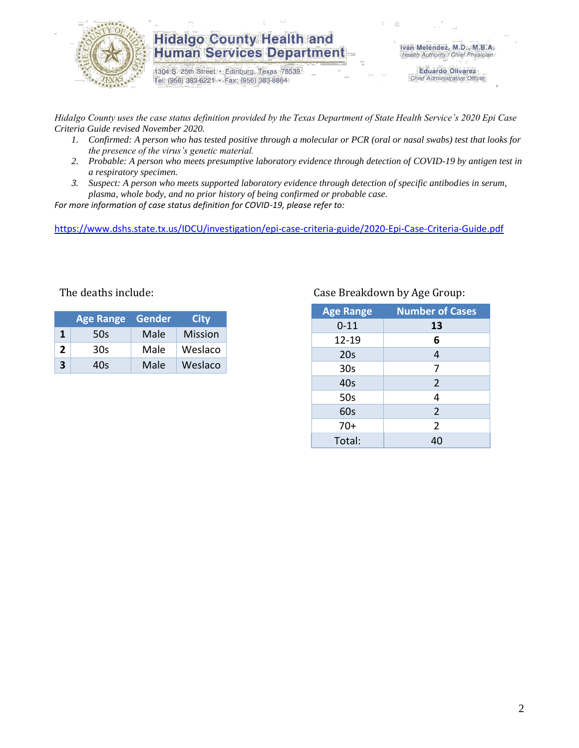

## **Hidalgo County Health and Human Services Department**

1304 S. 25th Street · Edinburg, Texas 78539 Tel: (956) 383-6221 · Fax: (956) 383-8864

**Eduardo Olivarez** Chief Administrative Officer

*Hidalgo County uses the case status definition provided by the Texas Department of State Health Service's 2020 Epi Case Criteria Guide revised November 2020.*

- *1. Confirmed: A person who has tested positive through a molecular or PCR (oral or nasal swabs) test that looks for the presence of the virus's genetic material.*
- *2. Probable: A person who meets presumptive laboratory evidence through detection of COVID-19 by antigen test in a respiratory specimen.*
- *3. Suspect: A person who meets supported laboratory evidence through detection of specific antibodies in serum, plasma, whole body, and no prior history of being confirmed or probable case.*

*For more information of case status definition for COVID-19, please refer to:*

<https://www.dshs.state.tx.us/IDCU/investigation/epi-case-criteria-guide/2020-Epi-Case-Criteria-Guide.pdf>

|              | <b>Age Range</b> | Gender | City           |
|--------------|------------------|--------|----------------|
| 1            | 50s              | Male   | <b>Mission</b> |
| $\mathbf{2}$ | 30s              | Male   | Weslaco        |
| ર            | 40s              | Male   | Weslaco        |

#### The deaths include: Case Breakdown by Age Group:

| <b>Age Range</b> | <b>Number of Cases</b> |  |  |  |
|------------------|------------------------|--|--|--|
| $0 - 11$         | 13                     |  |  |  |
| $12 - 19$        | 6                      |  |  |  |
| 20 <sub>s</sub>  | 4                      |  |  |  |
| 30 <sub>s</sub>  | 7                      |  |  |  |
| 40s              | $\overline{2}$         |  |  |  |
| 50s              | 4                      |  |  |  |
| 60s              | $\overline{2}$         |  |  |  |
| $70+$            | $\overline{2}$         |  |  |  |
| Total:           | 40                     |  |  |  |